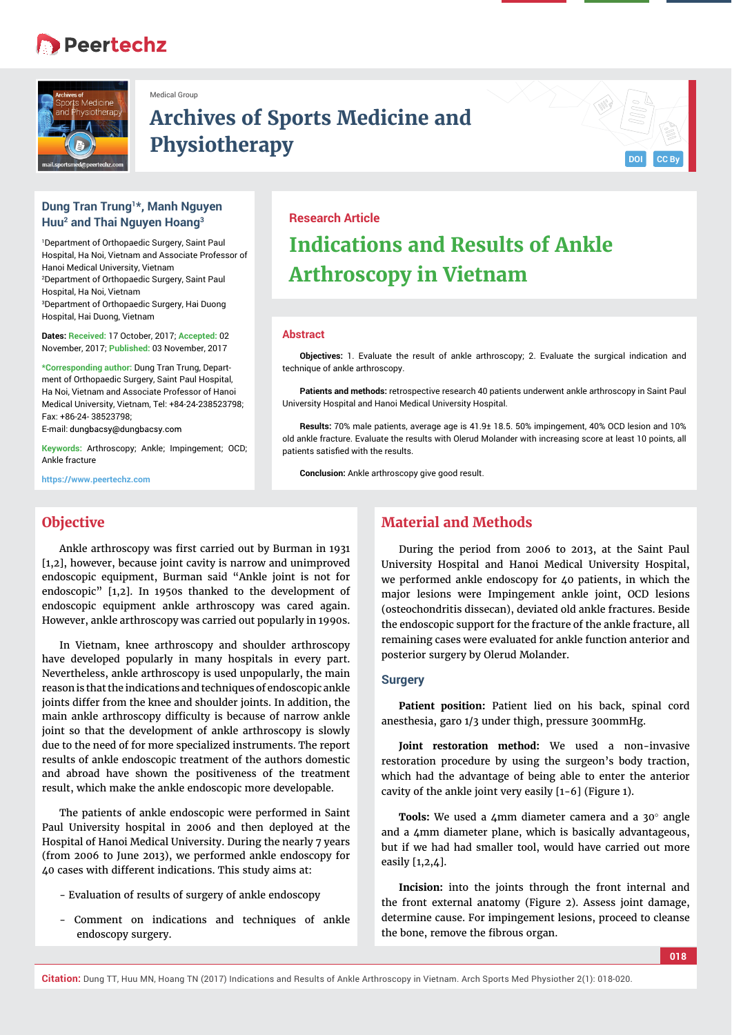## **Peertechz**



Medical Group

# **Archives of Sports Medicine and Physiotherapy**

## **Dung Tran Trung1\*, Manh Nguyen Huu2 and Thai Nguyen Hoang3**

1 Department of Orthopaedic Surgery, Saint Paul Hospital, Ha Noi, Vietnam and Associate Professor of Hanoi Medical University, Vietnam 2 Department of Orthopaedic Surgery, Saint Paul Hospital, Ha Noi, Vietnam 3 Department of Orthopaedic Surgery, Hai Duong Hospital, Hai Duong, Vietnam

**Dates: Received:** 17 October, 2017; **Accepted:** 02 November, 2017; **Published:** 03 November, 2017

**\*Corresponding author:** Dung Tran Trung, Department of Orthopaedic Surgery, Saint Paul Hospital, Ha Noi, Vietnam and Associate Professor of Hanoi Medical University, Vietnam, Tel: +84-24-238523798; Fax: +86-24- 38523798;

E-mail: dungbacsy@dungbacsy.com

**Keywords:** Arthroscopy; Ankle; Impingement; OCD; Ankle fracture

**https://www.peertechz.com**

## **Research Article**

# **Indications and Results of Ankle Arthroscopy in Vietnam**

#### **Abstract**

**Objectives:** 1. Evaluate the result of ankle arthroscopy; 2. Evaluate the surgical indication and technique of ankle arthroscopy.

**Patients and methods:** retrospective research 40 patients underwent ankle arthroscopy in Saint Paul University Hospital and Hanoi Medical University Hospital.

**Results:** 70% male patients, average age is 41.9± 18.5. 50% impingement, 40% OCD lesion and 10% old ankle fracture. Evaluate the results with Olerud Molander with increasing score at least 10 points, all patients satisfied with the results.

**Conclusion:** Ankle arthroscopy give good result

## **Objective**

Ankle arthroscopy was first carried out by Burman in 1931 [1,2], however, because joint cavity is narrow and unimproved endoscopic equipment, Burman said "Ankle joint is not for endoscopic" [1,2]. In 1950s thanked to the development of endoscopic equipment ankle arthroscopy was cared again. However, ankle arthroscopy was carried out popularly in 1990s.

In Vietnam, knee arthroscopy and shoulder arthroscopy have developed popularly in many hospitals in every part. Nevertheless, ankle arthroscopy is used unpopularly, the main reason is that the indications and techniques of endoscopic ankle joints differ from the knee and shoulder joints. In addition, the main ankle arthroscopy difficulty is because of narrow ankle joint so that the development of ankle arthroscopy is slowly due to the need of for more specialized instruments. The report results of ankle endoscopic treatment of the authors domestic and abroad have shown the positiveness of the treatment result, which make the ankle endoscopic more developable.

The patients of ankle endoscopic were performed in Saint Paul University hospital in 2006 and then deployed at the Hospital of Hanoi Medical University. During the nearly 7 years (from 2006 to June 2013), we performed ankle endoscopy for 40 cases with different indications. This study aims at:

- Evaluation of results of surgery of ankle endoscopy
- Comment on indications and techniques of ankle endoscopy surgery.

## **Material and Methods**

During the period from 2006 to 2013, at the Saint Paul University Hospital and Hanoi Medical University Hospital, we performed ankle endoscopy for 40 patients, in which the major lesions were Impingement ankle joint, OCD lesions (osteochondritis dissecan), deviated old ankle fractures. Beside the endoscopic support for the fracture of the ankle fracture, all remaining cases were evaluated for ankle function anterior and posterior surgery by Olerud Molander.

#### **Surgery**

**Patient position:** Patient lied on his back, spinal cord anesthesia, garo 1/3 under thigh, pressure 300mmHg.

**Joint restoration method:** We used a non-invasive restoration procedure by using the surgeon's body traction, which had the advantage of being able to enter the anterior cavity of the ankle joint very easily [1-6] (Figure 1).

Tools: We used a 4mm diameter camera and a 30° angle and a 4mm diameter plane, which is basically advantageous, but if we had had smaller tool, would have carried out more easily [1,2,4].

**Incision:** into the joints through the front internal and the front external anatomy (Figure 2). Assess joint damage, determine cause. For impingement lesions, proceed to cleanse the bone, remove the fibrous organ.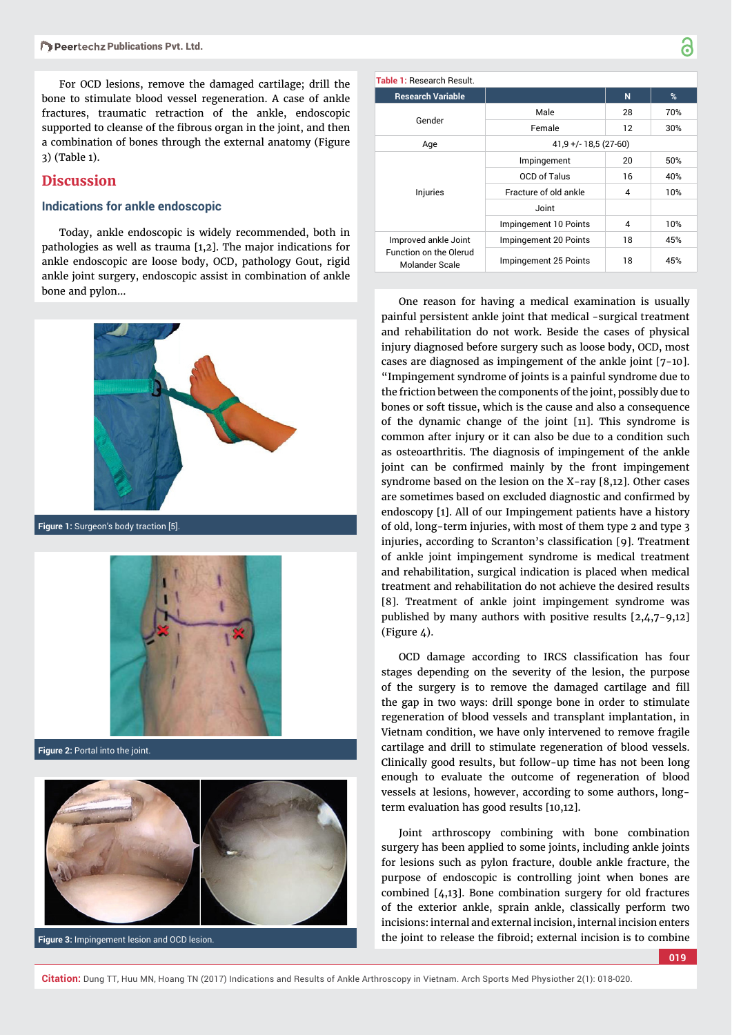For OCD lesions, remove the damaged cartilage; drill the bone to stimulate blood vessel regeneration. A case of ankle fractures, traumatic retraction of the ankle, endoscopic supported to cleanse of the fibrous organ in the joint, and then a combination of bones through the external anatomy (Figure 3) (Table 1).

## **Discussion**

#### **Indications for ankle endoscopic**

Today, ankle endoscopic is widely recommended, both in pathologies as well as trauma [1,2]. The major indications for ankle endoscopic are loose body, OCD, pathology Gout, rigid ankle joint surgery, endoscopic assist in combination of ankle bone and pylon…



**Figure 1:** Surgeon's body traction [5].



**Figure 2:** Portal into the joint.



**Figure 3:** Impingement lesion and OCD lesion.

| Table 1: Research Result. |                        |    |     |
|---------------------------|------------------------|----|-----|
| <b>Research Variable</b>  |                        | N  | %   |
| Gender                    | Male                   | 28 | 70% |
|                           | Female                 | 12 | 30% |
| Age                       | $41,9 +/- 18,5(27-60)$ |    |     |
| Injuries                  | Impingement            | 20 | 50% |
|                           | <b>OCD of Talus</b>    | 16 | 40% |
|                           | Fracture of old ankle  | 4  | 10% |
|                           | Joint                  |    |     |
|                           | Impingement 10 Points  | 4  | 10% |

Impingement 20 Points 18 18 45% Impingement 25 Points 18 45%

Ъ

Improved ankle Joint Function on the Olerud Molander Scale

One reason for having a medical examination is usually painful persistent ankle joint that medical -surgical treatment and rehabilitation do not work. Beside the cases of physical injury diagnosed before surgery such as loose body, OCD, most cases are diagnosed as impingement of the ankle joint [7-10]. "Impingement syndrome of joints is a painful syndrome due to the friction between the components of the joint, possibly due to bones or soft tissue, which is the cause and also a consequence of the dynamic change of the joint [11]. This syndrome is common after injury or it can also be due to a condition such as osteoarthritis. The diagnosis of impingement of the ankle joint can be confirmed mainly by the front impingement syndrome based on the lesion on the X-ray [8,12]. Other cases are sometimes based on excluded diagnostic and confirmed by endoscopy [1]. All of our Impingement patients have a history of old, long-term injuries, with most of them type 2 and type 3 injuries, according to Scranton's classification [9]. Treatment of ankle joint impingement syndrome is medical treatment and rehabilitation, surgical indication is placed when medical treatment and rehabilitation do not achieve the desired results [8]. Treatment of ankle joint impingement syndrome was published by many authors with positive results [2,4,7-9,12] (Figure 4).

OCD damage according to IRCS classification has four stages depending on the severity of the lesion, the purpose of the surgery is to remove the damaged cartilage and fill the gap in two ways: drill sponge bone in order to stimulate regeneration of blood vessels and transplant implantation, in Vietnam condition, we have only intervened to remove fragile cartilage and drill to stimulate regeneration of blood vessels. Clinically good results, but follow-up time has not been long enough to evaluate the outcome of regeneration of blood vessels at lesions, however, according to some authors, longterm evaluation has good results [10,12].

Joint arthroscopy combining with bone combination surgery has been applied to some joints, including ankle joints for lesions such as pylon fracture, double ankle fracture, the purpose of endoscopic is controlling joint when bones are combined [4,13]. Bone combination surgery for old fractures of the exterior ankle, sprain ankle, classically perform two incisions: internal and external incision, internal incision enters the joint to release the fibroid; external incision is to combine